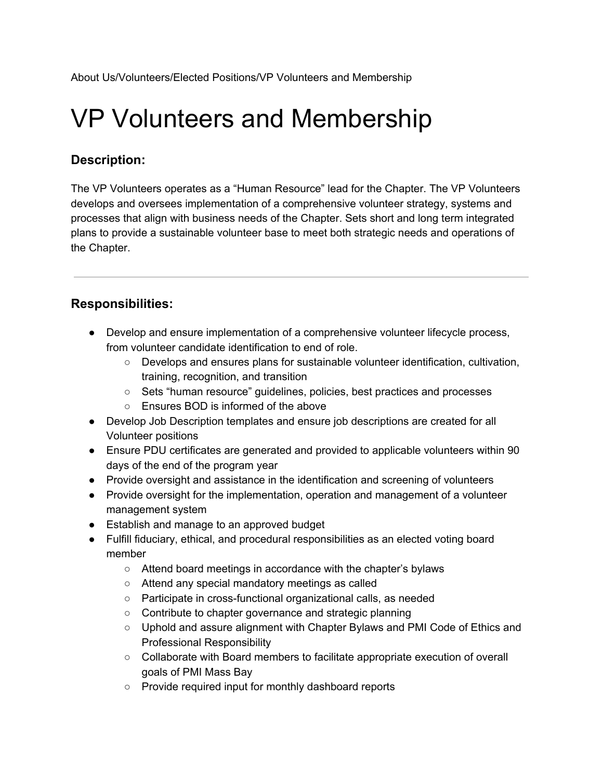# VP Volunteers and Membership

## **Description:**

The VP Volunteers operates as a "Human Resource" lead for the Chapter. The VP Volunteers develops and oversees implementation of a comprehensive volunteer strategy, systems and processes that align with business needs of the Chapter. Sets short and long term integrated plans to provide a sustainable volunteer base to meet both strategic needs and operations of the Chapter.

## **Responsibilities:**

- Develop and ensure implementation of a comprehensive volunteer lifecycle process, from volunteer candidate identification to end of role.
	- Develops and ensures plans for sustainable volunteer identification, cultivation, training, recognition, and transition
	- Sets "human resource" guidelines, policies, best practices and processes
	- Ensures BOD is informed of the above
- Develop Job Description templates and ensure job descriptions are created for all Volunteer positions
- Ensure PDU certificates are generated and provided to applicable volunteers within 90 days of the end of the program year
- Provide oversight and assistance in the identification and screening of volunteers
- Provide oversight for the implementation, operation and management of a volunteer management system
- Establish and manage to an approved budget
- Fulfill fiduciary, ethical, and procedural responsibilities as an elected voting board member
	- Attend board meetings in accordance with the chapter's bylaws
	- Attend any special mandatory meetings as called
	- Participate in cross-functional organizational calls, as needed
	- Contribute to chapter governance and strategic planning
	- Uphold and assure alignment with Chapter Bylaws and PMI Code of Ethics and Professional Responsibility
	- Collaborate with Board members to facilitate appropriate execution of overall goals of PMI Mass Bay
	- Provide required input for monthly dashboard reports